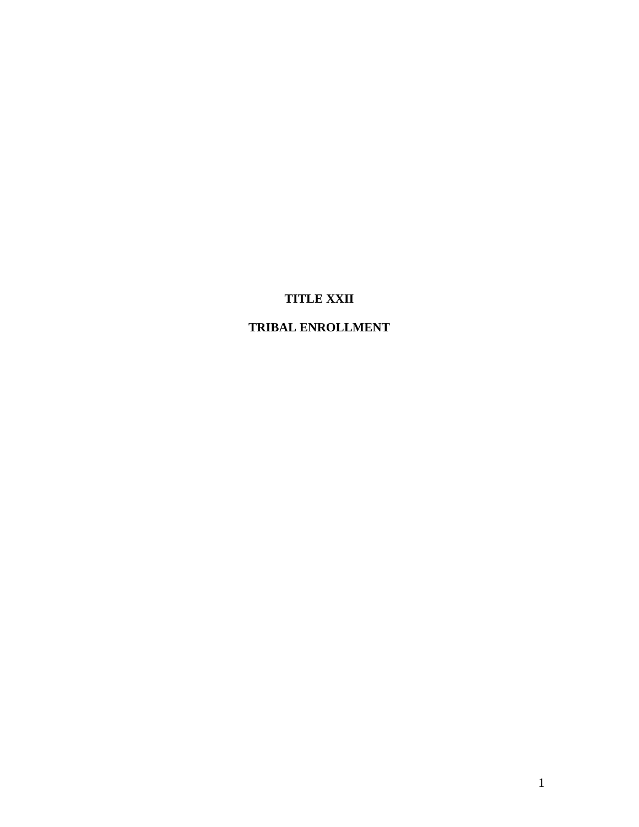# **TITLE XXII**

# **TRIBAL ENROLLMENT**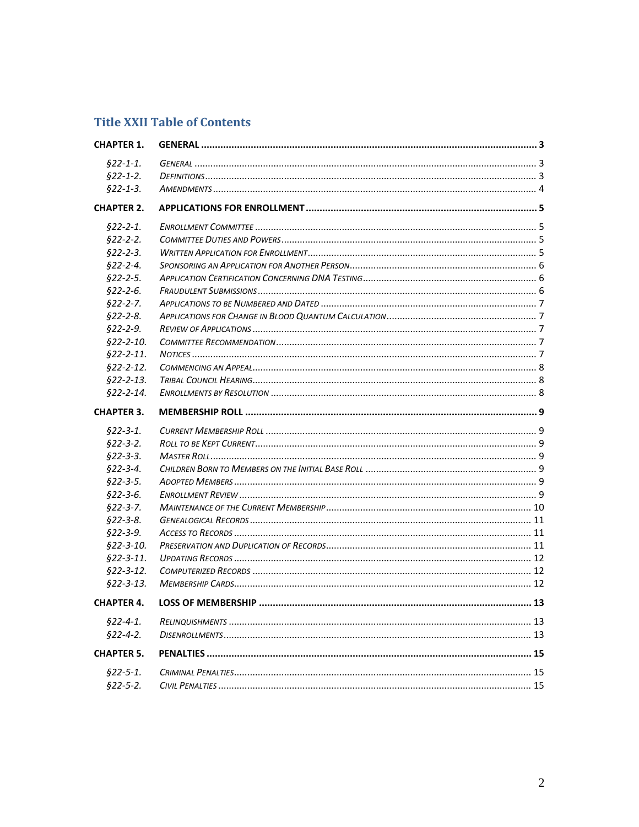# **Title XXII Table of Contents**

| <b>CHAPTER 1.</b> |                      |  |
|-------------------|----------------------|--|
| $§22 - 1 - 1.$    |                      |  |
| $$22-1-2.$        |                      |  |
| $622 - 1 - 3$ .   |                      |  |
| <b>CHAPTER 2.</b> |                      |  |
| $§22 - 2 - 1.$    |                      |  |
| $$22-2-2.$        |                      |  |
| $$22-2-3.$        |                      |  |
| $622 - 2 - 4$ .   |                      |  |
| $$22-2-5.$        |                      |  |
| $$22-2-6.$        |                      |  |
| $$22-2-7.$        |                      |  |
| $$22-2-8.$        |                      |  |
| $$22-2-9.$        |                      |  |
| $$22-2-10.$       |                      |  |
| $§22 - 2 - 11.$   |                      |  |
| $$22-2-12.$       | COMMENCING AN APPEAL |  |
| $$22-2-13.$       |                      |  |
| $$22-2-14.$       |                      |  |
| <b>CHAPTER 3.</b> |                      |  |
| $§22 - 3 - 1.$    |                      |  |
| $$22-3-2.$        |                      |  |
| $$22-3-3.$        |                      |  |
| $$22-3-4.$        |                      |  |
| $$22-3-5.$        |                      |  |
| $$22-3-6.$        |                      |  |
| $$22-3-7.$        |                      |  |
| $$22-3-8.$        |                      |  |
| $$22-3-9.$        |                      |  |
| $$22-3-10.$       |                      |  |
| $$22-3-11.$       |                      |  |
| $$22-3-12.$       |                      |  |
| $$22-3-13.$       |                      |  |
| <b>CHAPTER 4.</b> |                      |  |
| $§22 - 4 - 1.$    |                      |  |
| $$22-4-2.$        |                      |  |
| <b>CHAPTER 5.</b> |                      |  |
| $$22-5-1.$        |                      |  |
| $$22-5-2.$        |                      |  |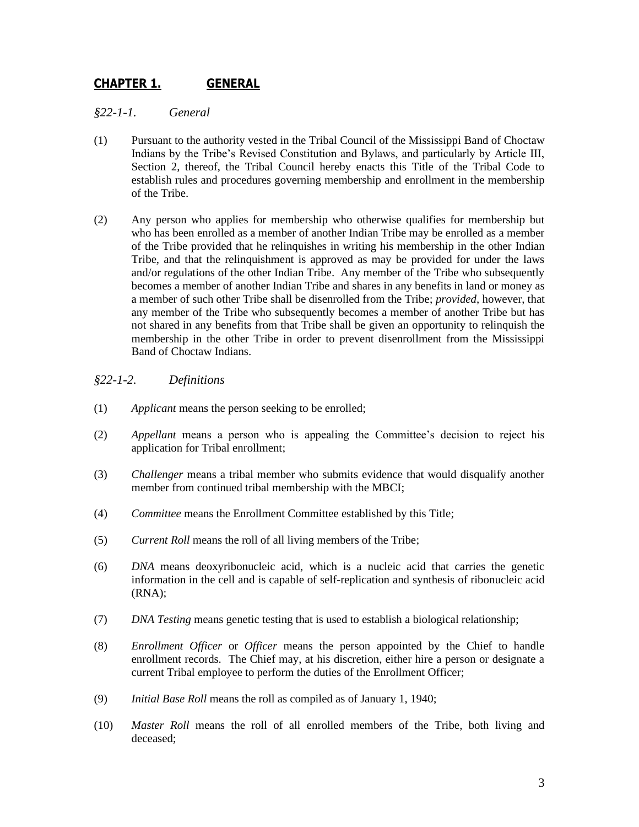# <span id="page-2-0"></span>**CHAPTER 1. GENERAL**

<span id="page-2-1"></span>*§22-1-1. General*

- (1) Pursuant to the authority vested in the Tribal Council of the Mississippi Band of Choctaw Indians by the Tribe's Revised Constitution and Bylaws, and particularly by Article III, Section 2, thereof, the Tribal Council hereby enacts this Title of the Tribal Code to establish rules and procedures governing membership and enrollment in the membership of the Tribe.
- (2) Any person who applies for membership who otherwise qualifies for membership but who has been enrolled as a member of another Indian Tribe may be enrolled as a member of the Tribe provided that he relinquishes in writing his membership in the other Indian Tribe, and that the relinquishment is approved as may be provided for under the laws and/or regulations of the other Indian Tribe. Any member of the Tribe who subsequently becomes a member of another Indian Tribe and shares in any benefits in land or money as a member of such other Tribe shall be disenrolled from the Tribe; *provided*, however, that any member of the Tribe who subsequently becomes a member of another Tribe but has not shared in any benefits from that Tribe shall be given an opportunity to relinquish the membership in the other Tribe in order to prevent disenrollment from the Mississippi Band of Choctaw Indians.

# <span id="page-2-2"></span>*§22-1-2. Definitions*

- (1) *Applicant* means the person seeking to be enrolled;
- (2) *Appellant* means a person who is appealing the Committee's decision to reject his application for Tribal enrollment;
- (3) *Challenger* means a tribal member who submits evidence that would disqualify another member from continued tribal membership with the MBCI;
- (4) *Committee* means the Enrollment Committee established by this Title;
- (5) *Current Roll* means the roll of all living members of the Tribe;
- (6) *DNA* means deoxyribonucleic acid, which is a nucleic acid that carries the genetic information in the cell and is capable of self-replication and synthesis of ribonucleic acid (RNA);
- (7) *DNA Testing* means genetic testing that is used to establish a biological relationship;
- (8) *Enrollment Officer* or *Officer* means the person appointed by the Chief to handle enrollment records. The Chief may, at his discretion, either hire a person or designate a current Tribal employee to perform the duties of the Enrollment Officer;
- (9) *Initial Base Roll* means the roll as compiled as of January 1, 1940;
- (10) *Master Roll* means the roll of all enrolled members of the Tribe, both living and deceased;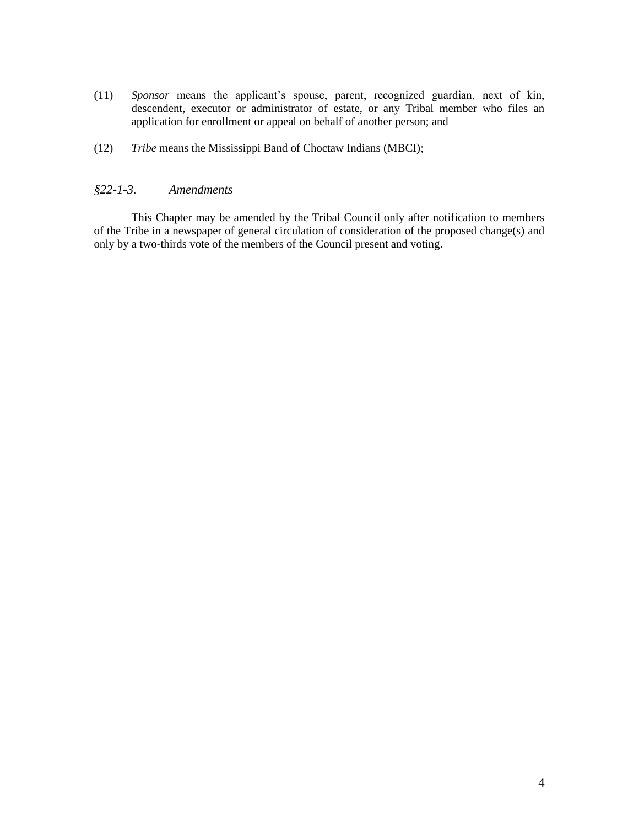- (11) *Sponsor* means the applicant's spouse, parent, recognized guardian, next of kin, descendent, executor or administrator of estate, or any Tribal member who files an application for enrollment or appeal on behalf of another person; and
- (12) *Tribe* means the Mississippi Band of Choctaw Indians (MBCI);

# <span id="page-3-0"></span>*§22-1-3. Amendments*

This Chapter may be amended by the Tribal Council only after notification to members of the Tribe in a newspaper of general circulation of consideration of the proposed change(s) and only by a two-thirds vote of the members of the Council present and voting.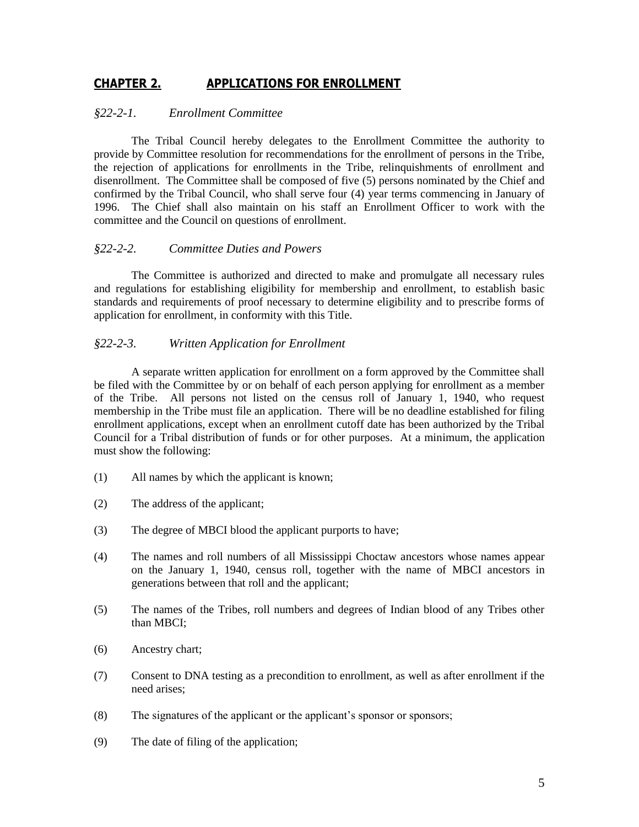# <span id="page-4-0"></span>**CHAPTER 2. APPLICATIONS FOR ENROLLMENT**

#### <span id="page-4-1"></span>*§22-2-1. Enrollment Committee*

The Tribal Council hereby delegates to the Enrollment Committee the authority to provide by Committee resolution for recommendations for the enrollment of persons in the Tribe, the rejection of applications for enrollments in the Tribe, relinquishments of enrollment and disenrollment. The Committee shall be composed of five (5) persons nominated by the Chief and confirmed by the Tribal Council, who shall serve four (4) year terms commencing in January of 1996. The Chief shall also maintain on his staff an Enrollment Officer to work with the committee and the Council on questions of enrollment.

#### <span id="page-4-2"></span>*§22-2-2. Committee Duties and Powers*

The Committee is authorized and directed to make and promulgate all necessary rules and regulations for establishing eligibility for membership and enrollment, to establish basic standards and requirements of proof necessary to determine eligibility and to prescribe forms of application for enrollment, in conformity with this Title.

#### <span id="page-4-3"></span>*§22-2-3. Written Application for Enrollment*

A separate written application for enrollment on a form approved by the Committee shall be filed with the Committee by or on behalf of each person applying for enrollment as a member of the Tribe. All persons not listed on the census roll of January 1, 1940, who request membership in the Tribe must file an application. There will be no deadline established for filing enrollment applications, except when an enrollment cutoff date has been authorized by the Tribal Council for a Tribal distribution of funds or for other purposes. At a minimum, the application must show the following:

- (1) All names by which the applicant is known;
- (2) The address of the applicant;
- (3) The degree of MBCI blood the applicant purports to have;
- (4) The names and roll numbers of all Mississippi Choctaw ancestors whose names appear on the January 1, 1940, census roll, together with the name of MBCI ancestors in generations between that roll and the applicant;
- (5) The names of the Tribes, roll numbers and degrees of Indian blood of any Tribes other than MBCI;
- (6) Ancestry chart;
- (7) Consent to DNA testing as a precondition to enrollment, as well as after enrollment if the need arises;
- (8) The signatures of the applicant or the applicant's sponsor or sponsors;
- (9) The date of filing of the application;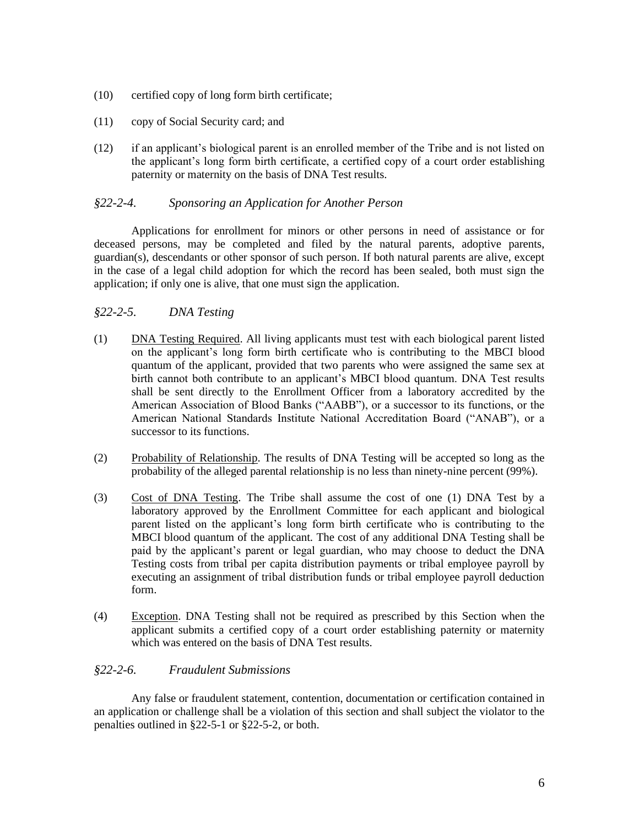- (10) certified copy of long form birth certificate;
- (11) copy of Social Security card; and
- (12) if an applicant's biological parent is an enrolled member of the Tribe and is not listed on the applicant's long form birth certificate, a certified copy of a court order establishing paternity or maternity on the basis of DNA Test results.

### <span id="page-5-0"></span>*§22-2-4. Sponsoring an Application for Another Person*

Applications for enrollment for minors or other persons in need of assistance or for deceased persons, may be completed and filed by the natural parents, adoptive parents, guardian(s), descendants or other sponsor of such person. If both natural parents are alive, except in the case of a legal child adoption for which the record has been sealed, both must sign the application; if only one is alive, that one must sign the application.

# <span id="page-5-1"></span>*§22-2-5. DNA Testing*

- (1) DNA Testing Required. All living applicants must test with each biological parent listed on the applicant's long form birth certificate who is contributing to the MBCI blood quantum of the applicant, provided that two parents who were assigned the same sex at birth cannot both contribute to an applicant's MBCI blood quantum. DNA Test results shall be sent directly to the Enrollment Officer from a laboratory accredited by the American Association of Blood Banks ("AABB"), or a successor to its functions, or the American National Standards Institute National Accreditation Board ("ANAB"), or a successor to its functions.
- (2) Probability of Relationship. The results of DNA Testing will be accepted so long as the probability of the alleged parental relationship is no less than ninety-nine percent (99%).
- (3) Cost of DNA Testing. The Tribe shall assume the cost of one (1) DNA Test by a laboratory approved by the Enrollment Committee for each applicant and biological parent listed on the applicant's long form birth certificate who is contributing to the MBCI blood quantum of the applicant. The cost of any additional DNA Testing shall be paid by the applicant's parent or legal guardian, who may choose to deduct the DNA Testing costs from tribal per capita distribution payments or tribal employee payroll by executing an assignment of tribal distribution funds or tribal employee payroll deduction form.
- (4) Exception. DNA Testing shall not be required as prescribed by this Section when the applicant submits a certified copy of a court order establishing paternity or maternity which was entered on the basis of DNA Test results.

#### <span id="page-5-2"></span>*§22-2-6. Fraudulent Submissions*

Any false or fraudulent statement, contention, documentation or certification contained in an application or challenge shall be a violation of this section and shall subject the violator to the penalties outlined in §22-5-1 or §22-5-2, or both.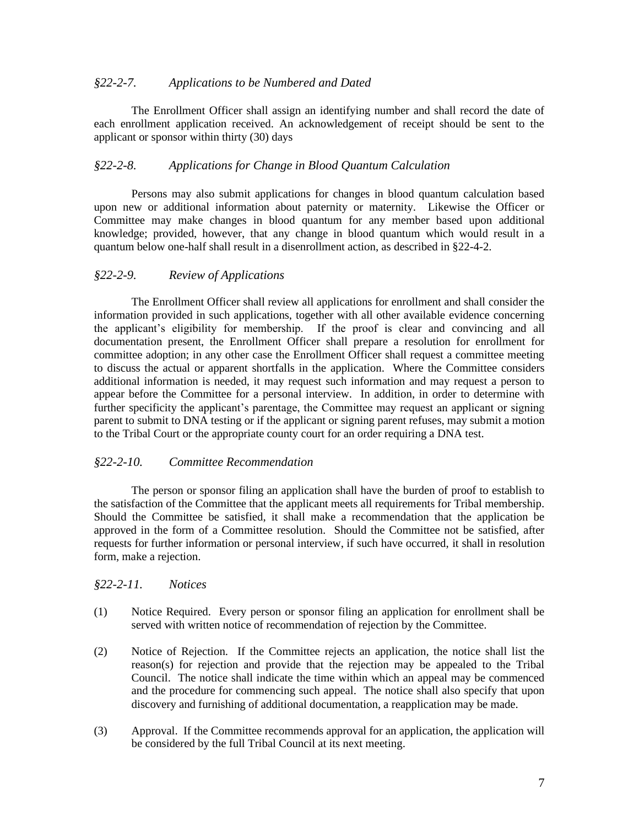#### <span id="page-6-0"></span>*§22-2-7. Applications to be Numbered and Dated*

The Enrollment Officer shall assign an identifying number and shall record the date of each enrollment application received. An acknowledgement of receipt should be sent to the applicant or sponsor within thirty (30) days

# <span id="page-6-1"></span>*§22-2-8. Applications for Change in Blood Quantum Calculation*

Persons may also submit applications for changes in blood quantum calculation based upon new or additional information about paternity or maternity. Likewise the Officer or Committee may make changes in blood quantum for any member based upon additional knowledge; provided, however, that any change in blood quantum which would result in a quantum below one-half shall result in a disenrollment action, as described in §22-4-2.

# <span id="page-6-2"></span>*§22-2-9. Review of Applications*

The Enrollment Officer shall review all applications for enrollment and shall consider the information provided in such applications, together with all other available evidence concerning the applicant's eligibility for membership. If the proof is clear and convincing and all documentation present, the Enrollment Officer shall prepare a resolution for enrollment for committee adoption; in any other case the Enrollment Officer shall request a committee meeting to discuss the actual or apparent shortfalls in the application. Where the Committee considers additional information is needed, it may request such information and may request a person to appear before the Committee for a personal interview. In addition, in order to determine with further specificity the applicant's parentage, the Committee may request an applicant or signing parent to submit to DNA testing or if the applicant or signing parent refuses, may submit a motion to the Tribal Court or the appropriate county court for an order requiring a DNA test.

# <span id="page-6-3"></span>*§22-2-10. Committee Recommendation*

The person or sponsor filing an application shall have the burden of proof to establish to the satisfaction of the Committee that the applicant meets all requirements for Tribal membership. Should the Committee be satisfied, it shall make a recommendation that the application be approved in the form of a Committee resolution. Should the Committee not be satisfied, after requests for further information or personal interview, if such have occurred, it shall in resolution form, make a rejection.

# <span id="page-6-4"></span>*§22-2-11. Notices*

- (1) Notice Required. Every person or sponsor filing an application for enrollment shall be served with written notice of recommendation of rejection by the Committee.
- (2) Notice of Rejection. If the Committee rejects an application, the notice shall list the reason(s) for rejection and provide that the rejection may be appealed to the Tribal Council. The notice shall indicate the time within which an appeal may be commenced and the procedure for commencing such appeal. The notice shall also specify that upon discovery and furnishing of additional documentation, a reapplication may be made.
- (3) Approval. If the Committee recommends approval for an application, the application will be considered by the full Tribal Council at its next meeting.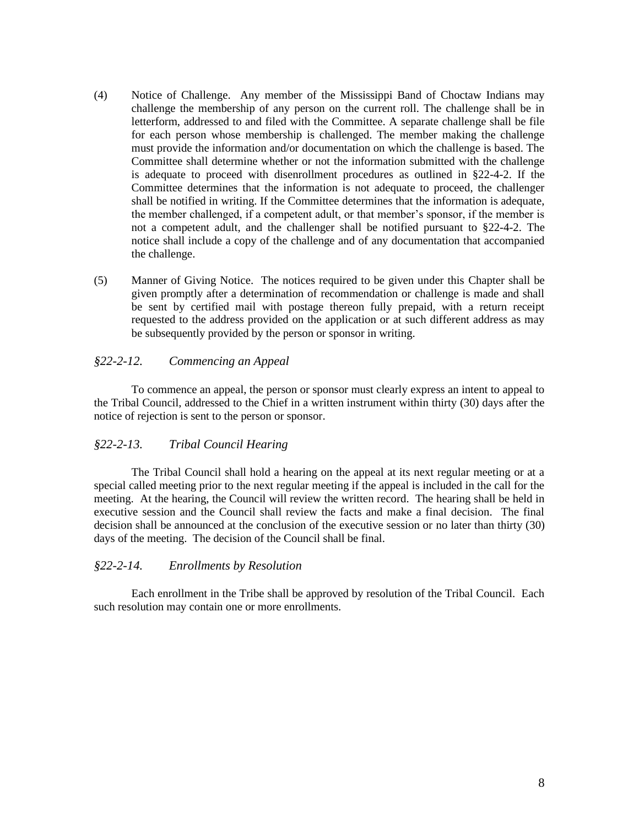- (4) Notice of Challenge. Any member of the Mississippi Band of Choctaw Indians may challenge the membership of any person on the current roll. The challenge shall be in letterform, addressed to and filed with the Committee. A separate challenge shall be file for each person whose membership is challenged. The member making the challenge must provide the information and/or documentation on which the challenge is based. The Committee shall determine whether or not the information submitted with the challenge is adequate to proceed with disenrollment procedures as outlined in §22-4-2. If the Committee determines that the information is not adequate to proceed, the challenger shall be notified in writing. If the Committee determines that the information is adequate, the member challenged, if a competent adult, or that member's sponsor, if the member is not a competent adult, and the challenger shall be notified pursuant to §22-4-2. The notice shall include a copy of the challenge and of any documentation that accompanied the challenge.
- (5) Manner of Giving Notice. The notices required to be given under this Chapter shall be given promptly after a determination of recommendation or challenge is made and shall be sent by certified mail with postage thereon fully prepaid, with a return receipt requested to the address provided on the application or at such different address as may be subsequently provided by the person or sponsor in writing.

### <span id="page-7-0"></span>*§22-2-12. Commencing an Appeal*

To commence an appeal, the person or sponsor must clearly express an intent to appeal to the Tribal Council, addressed to the Chief in a written instrument within thirty (30) days after the notice of rejection is sent to the person or sponsor.

#### <span id="page-7-1"></span>*§22-2-13. Tribal Council Hearing*

The Tribal Council shall hold a hearing on the appeal at its next regular meeting or at a special called meeting prior to the next regular meeting if the appeal is included in the call for the meeting. At the hearing, the Council will review the written record. The hearing shall be held in executive session and the Council shall review the facts and make a final decision. The final decision shall be announced at the conclusion of the executive session or no later than thirty (30) days of the meeting. The decision of the Council shall be final.

#### <span id="page-7-2"></span>*§22-2-14. Enrollments by Resolution*

Each enrollment in the Tribe shall be approved by resolution of the Tribal Council. Each such resolution may contain one or more enrollments.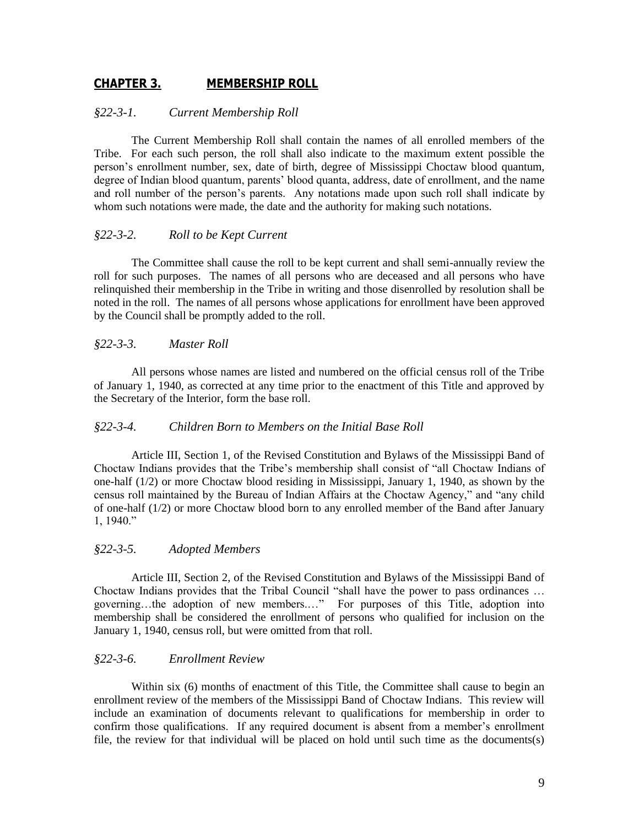# <span id="page-8-0"></span>**CHAPTER 3. MEMBERSHIP ROLL**

#### <span id="page-8-1"></span>*§22-3-1. Current Membership Roll*

The Current Membership Roll shall contain the names of all enrolled members of the Tribe. For each such person, the roll shall also indicate to the maximum extent possible the person's enrollment number, sex, date of birth, degree of Mississippi Choctaw blood quantum, degree of Indian blood quantum, parents' blood quanta, address, date of enrollment, and the name and roll number of the person's parents. Any notations made upon such roll shall indicate by whom such notations were made, the date and the authority for making such notations.

#### <span id="page-8-2"></span>*§22-3-2. Roll to be Kept Current*

The Committee shall cause the roll to be kept current and shall semi-annually review the roll for such purposes. The names of all persons who are deceased and all persons who have relinquished their membership in the Tribe in writing and those disenrolled by resolution shall be noted in the roll. The names of all persons whose applications for enrollment have been approved by the Council shall be promptly added to the roll.

#### <span id="page-8-3"></span>*§22-3-3. Master Roll*

All persons whose names are listed and numbered on the official census roll of the Tribe of January 1, 1940, as corrected at any time prior to the enactment of this Title and approved by the Secretary of the Interior, form the base roll.

#### <span id="page-8-4"></span>*§22-3-4. Children Born to Members on the Initial Base Roll*

Article III, Section 1, of the Revised Constitution and Bylaws of the Mississippi Band of Choctaw Indians provides that the Tribe's membership shall consist of "all Choctaw Indians of one-half (1/2) or more Choctaw blood residing in Mississippi, January 1, 1940, as shown by the census roll maintained by the Bureau of Indian Affairs at the Choctaw Agency," and "any child of one-half (1/2) or more Choctaw blood born to any enrolled member of the Band after January 1, 1940."

#### <span id="page-8-5"></span>*§22-3-5. Adopted Members*

Article III, Section 2, of the Revised Constitution and Bylaws of the Mississippi Band of Choctaw Indians provides that the Tribal Council "shall have the power to pass ordinances … governing…the adoption of new members.…" For purposes of this Title, adoption into membership shall be considered the enrollment of persons who qualified for inclusion on the January 1, 1940, census roll, but were omitted from that roll.

### <span id="page-8-6"></span>*§22-3-6. Enrollment Review*

Within six (6) months of enactment of this Title, the Committee shall cause to begin an enrollment review of the members of the Mississippi Band of Choctaw Indians. This review will include an examination of documents relevant to qualifications for membership in order to confirm those qualifications. If any required document is absent from a member's enrollment file, the review for that individual will be placed on hold until such time as the documents(s)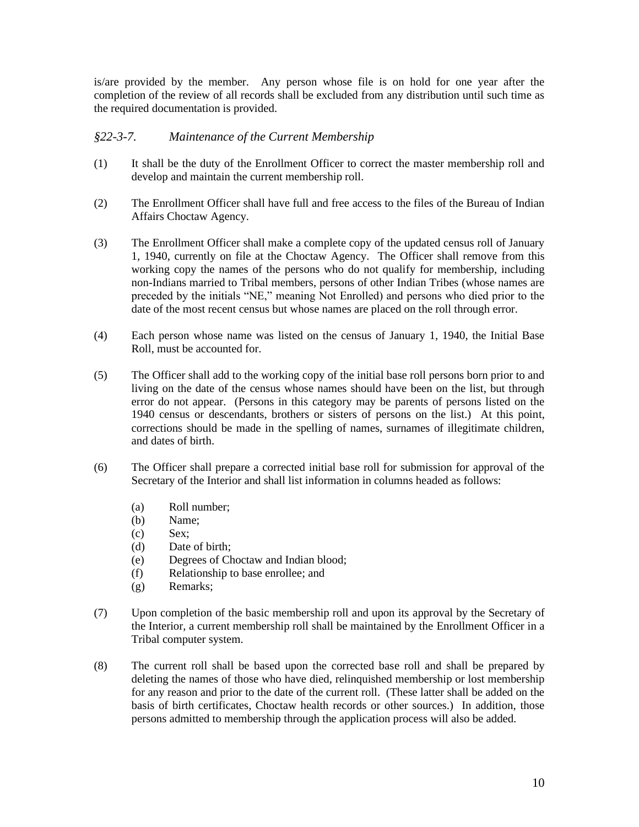is/are provided by the member. Any person whose file is on hold for one year after the completion of the review of all records shall be excluded from any distribution until such time as the required documentation is provided.

# <span id="page-9-0"></span>*§22-3-7. Maintenance of the Current Membership*

- (1) It shall be the duty of the Enrollment Officer to correct the master membership roll and develop and maintain the current membership roll.
- (2) The Enrollment Officer shall have full and free access to the files of the Bureau of Indian Affairs Choctaw Agency.
- (3) The Enrollment Officer shall make a complete copy of the updated census roll of January 1, 1940, currently on file at the Choctaw Agency. The Officer shall remove from this working copy the names of the persons who do not qualify for membership, including non-Indians married to Tribal members, persons of other Indian Tribes (whose names are preceded by the initials "NE," meaning Not Enrolled) and persons who died prior to the date of the most recent census but whose names are placed on the roll through error.
- (4) Each person whose name was listed on the census of January 1, 1940, the Initial Base Roll, must be accounted for.
- (5) The Officer shall add to the working copy of the initial base roll persons born prior to and living on the date of the census whose names should have been on the list, but through error do not appear. (Persons in this category may be parents of persons listed on the 1940 census or descendants, brothers or sisters of persons on the list.) At this point, corrections should be made in the spelling of names, surnames of illegitimate children, and dates of birth.
- (6) The Officer shall prepare a corrected initial base roll for submission for approval of the Secretary of the Interior and shall list information in columns headed as follows:
	- (a) Roll number;
	- (b) Name;
	- (c) Sex;
	- (d) Date of birth;
	- (e) Degrees of Choctaw and Indian blood;
	- (f) Relationship to base enrollee; and
	- (g) Remarks;
- (7) Upon completion of the basic membership roll and upon its approval by the Secretary of the Interior, a current membership roll shall be maintained by the Enrollment Officer in a Tribal computer system.
- (8) The current roll shall be based upon the corrected base roll and shall be prepared by deleting the names of those who have died, relinquished membership or lost membership for any reason and prior to the date of the current roll. (These latter shall be added on the basis of birth certificates, Choctaw health records or other sources.) In addition, those persons admitted to membership through the application process will also be added.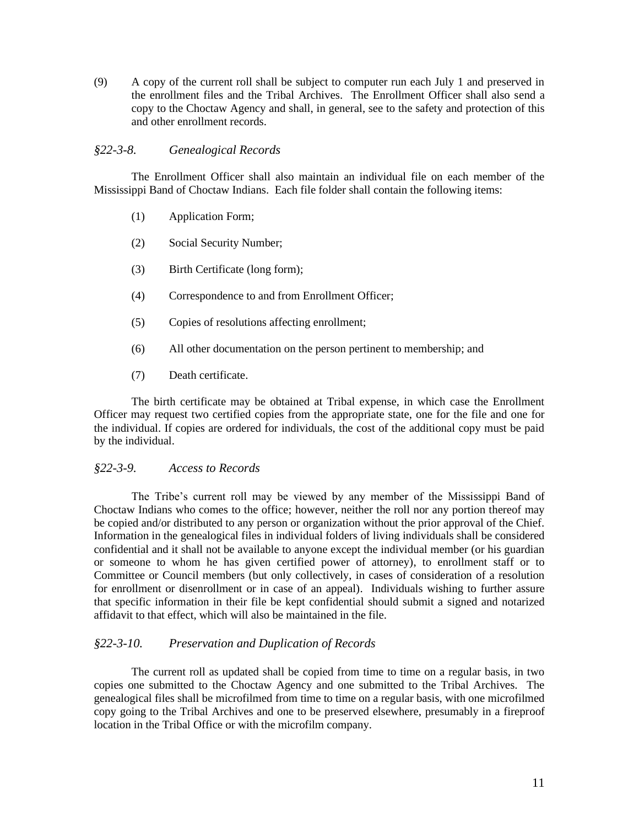(9) A copy of the current roll shall be subject to computer run each July 1 and preserved in the enrollment files and the Tribal Archives. The Enrollment Officer shall also send a copy to the Choctaw Agency and shall, in general, see to the safety and protection of this and other enrollment records.

#### <span id="page-10-0"></span>*§22-3-8. Genealogical Records*

The Enrollment Officer shall also maintain an individual file on each member of the Mississippi Band of Choctaw Indians. Each file folder shall contain the following items:

- (1) Application Form;
- (2) Social Security Number;
- (3) Birth Certificate (long form);
- (4) Correspondence to and from Enrollment Officer;
- (5) Copies of resolutions affecting enrollment;
- (6) All other documentation on the person pertinent to membership; and
- (7) Death certificate.

The birth certificate may be obtained at Tribal expense, in which case the Enrollment Officer may request two certified copies from the appropriate state, one for the file and one for the individual. If copies are ordered for individuals, the cost of the additional copy must be paid by the individual.

#### <span id="page-10-1"></span>*§22-3-9. Access to Records*

The Tribe's current roll may be viewed by any member of the Mississippi Band of Choctaw Indians who comes to the office; however, neither the roll nor any portion thereof may be copied and/or distributed to any person or organization without the prior approval of the Chief. Information in the genealogical files in individual folders of living individuals shall be considered confidential and it shall not be available to anyone except the individual member (or his guardian or someone to whom he has given certified power of attorney), to enrollment staff or to Committee or Council members (but only collectively, in cases of consideration of a resolution for enrollment or disenrollment or in case of an appeal). Individuals wishing to further assure that specific information in their file be kept confidential should submit a signed and notarized affidavit to that effect, which will also be maintained in the file.

# <span id="page-10-2"></span>*§22-3-10. Preservation and Duplication of Records*

The current roll as updated shall be copied from time to time on a regular basis, in two copies one submitted to the Choctaw Agency and one submitted to the Tribal Archives. The genealogical files shall be microfilmed from time to time on a regular basis, with one microfilmed copy going to the Tribal Archives and one to be preserved elsewhere, presumably in a fireproof location in the Tribal Office or with the microfilm company.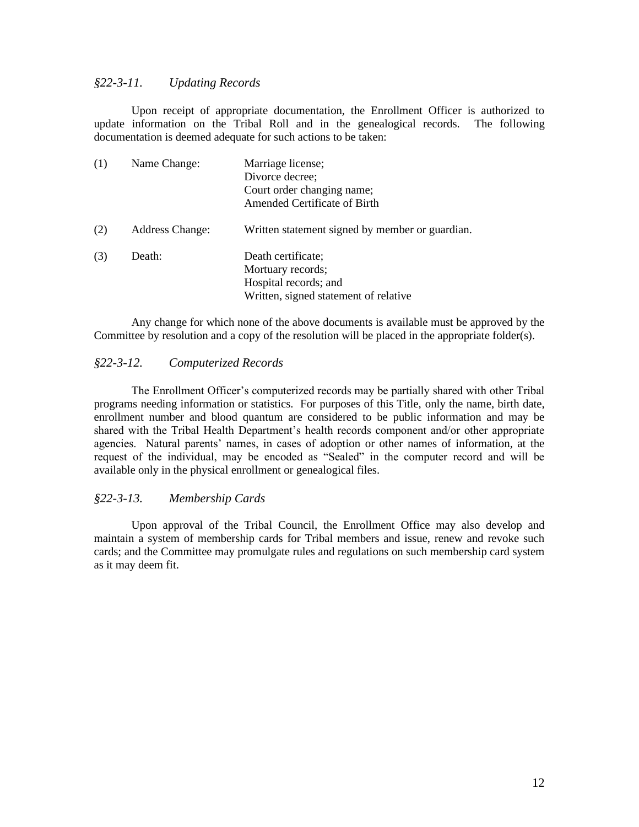#### <span id="page-11-0"></span>*§22-3-11. Updating Records*

Upon receipt of appropriate documentation, the Enrollment Officer is authorized to update information on the Tribal Roll and in the genealogical records. The following documentation is deemed adequate for such actions to be taken:

| (1) | Name Change:           | Marriage license;<br>Divorce decree;<br>Court order changing name;<br>Amended Certificate of Birth        |
|-----|------------------------|-----------------------------------------------------------------------------------------------------------|
| (2) | <b>Address Change:</b> | Written statement signed by member or guardian.                                                           |
| (3) | Death:                 | Death certificate;<br>Mortuary records;<br>Hospital records; and<br>Written, signed statement of relative |

Any change for which none of the above documents is available must be approved by the Committee by resolution and a copy of the resolution will be placed in the appropriate folder(s).

#### <span id="page-11-1"></span>*§22-3-12. Computerized Records*

The Enrollment Officer's computerized records may be partially shared with other Tribal programs needing information or statistics. For purposes of this Title, only the name, birth date, enrollment number and blood quantum are considered to be public information and may be shared with the Tribal Health Department's health records component and/or other appropriate agencies. Natural parents' names, in cases of adoption or other names of information, at the request of the individual, may be encoded as "Sealed" in the computer record and will be available only in the physical enrollment or genealogical files.

#### <span id="page-11-2"></span>*§22-3-13. Membership Cards*

Upon approval of the Tribal Council, the Enrollment Office may also develop and maintain a system of membership cards for Tribal members and issue, renew and revoke such cards; and the Committee may promulgate rules and regulations on such membership card system as it may deem fit.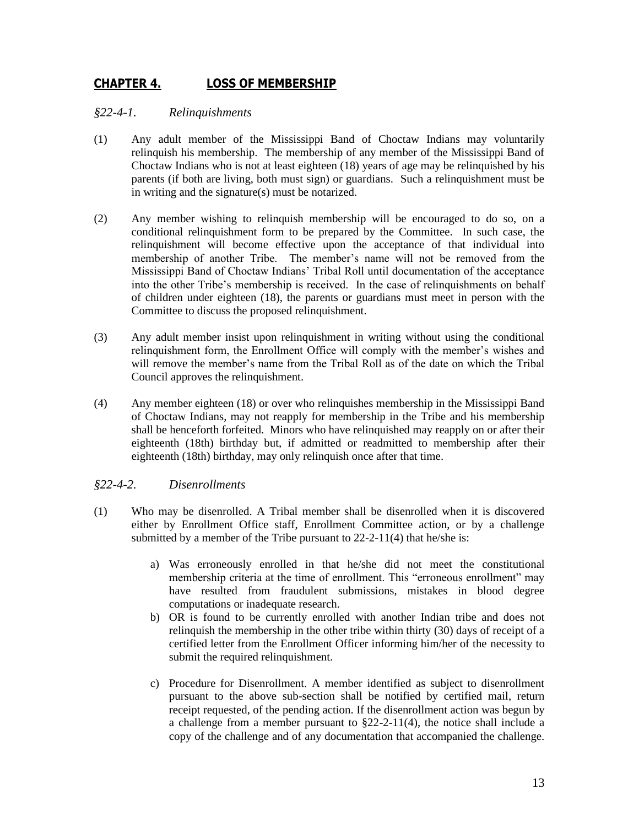# <span id="page-12-0"></span>**CHAPTER 4. LOSS OF MEMBERSHIP**

### <span id="page-12-1"></span>*§22-4-1. Relinquishments*

- (1) Any adult member of the Mississippi Band of Choctaw Indians may voluntarily relinquish his membership. The membership of any member of the Mississippi Band of Choctaw Indians who is not at least eighteen (18) years of age may be relinquished by his parents (if both are living, both must sign) or guardians. Such a relinquishment must be in writing and the signature(s) must be notarized.
- (2) Any member wishing to relinquish membership will be encouraged to do so, on a conditional relinquishment form to be prepared by the Committee. In such case, the relinquishment will become effective upon the acceptance of that individual into membership of another Tribe. The member's name will not be removed from the Mississippi Band of Choctaw Indians' Tribal Roll until documentation of the acceptance into the other Tribe's membership is received. In the case of relinquishments on behalf of children under eighteen (18), the parents or guardians must meet in person with the Committee to discuss the proposed relinquishment.
- (3) Any adult member insist upon relinquishment in writing without using the conditional relinquishment form, the Enrollment Office will comply with the member's wishes and will remove the member's name from the Tribal Roll as of the date on which the Tribal Council approves the relinquishment.
- (4) Any member eighteen (18) or over who relinquishes membership in the Mississippi Band of Choctaw Indians, may not reapply for membership in the Tribe and his membership shall be henceforth forfeited. Minors who have relinquished may reapply on or after their eighteenth (18th) birthday but, if admitted or readmitted to membership after their eighteenth (18th) birthday, may only relinquish once after that time.

# <span id="page-12-2"></span>*§22-4-2. Disenrollments*

- (1) Who may be disenrolled. A Tribal member shall be disenrolled when it is discovered either by Enrollment Office staff, Enrollment Committee action, or by a challenge submitted by a member of the Tribe pursuant to 22-2-11(4) that he/she is:
	- a) Was erroneously enrolled in that he/she did not meet the constitutional membership criteria at the time of enrollment. This "erroneous enrollment" may have resulted from fraudulent submissions, mistakes in blood degree computations or inadequate research.
	- b) OR is found to be currently enrolled with another Indian tribe and does not relinquish the membership in the other tribe within thirty (30) days of receipt of a certified letter from the Enrollment Officer informing him/her of the necessity to submit the required relinquishment.
	- c) Procedure for Disenrollment. A member identified as subject to disenrollment pursuant to the above sub-section shall be notified by certified mail, return receipt requested, of the pending action. If the disenrollment action was begun by a challenge from a member pursuant to §22-2-11(4), the notice shall include a copy of the challenge and of any documentation that accompanied the challenge.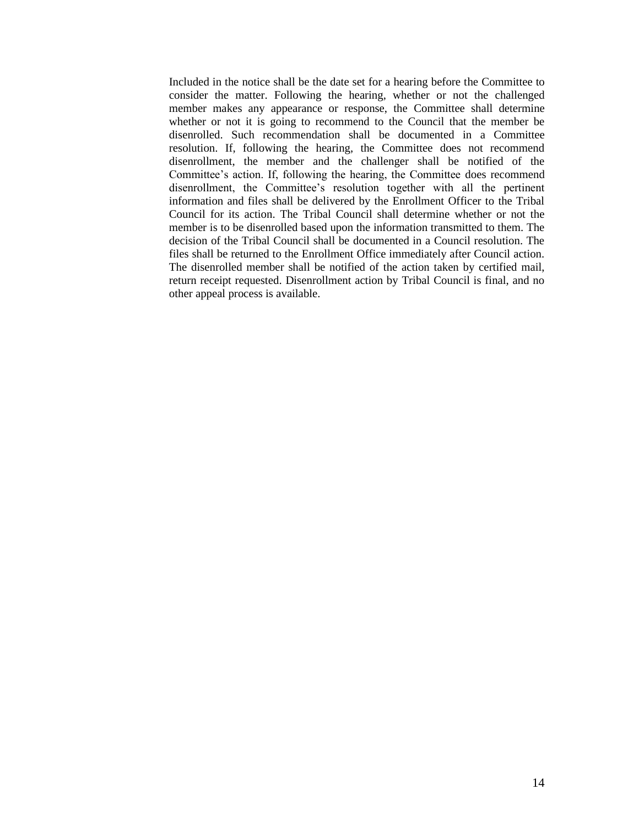Included in the notice shall be the date set for a hearing before the Committee to consider the matter. Following the hearing, whether or not the challenged member makes any appearance or response, the Committee shall determine whether or not it is going to recommend to the Council that the member be disenrolled. Such recommendation shall be documented in a Committee resolution. If, following the hearing, the Committee does not recommend disenrollment, the member and the challenger shall be notified of the Committee's action. If, following the hearing, the Committee does recommend disenrollment, the Committee's resolution together with all the pertinent information and files shall be delivered by the Enrollment Officer to the Tribal Council for its action. The Tribal Council shall determine whether or not the member is to be disenrolled based upon the information transmitted to them. The decision of the Tribal Council shall be documented in a Council resolution. The files shall be returned to the Enrollment Office immediately after Council action. The disenrolled member shall be notified of the action taken by certified mail, return receipt requested. Disenrollment action by Tribal Council is final, and no other appeal process is available.